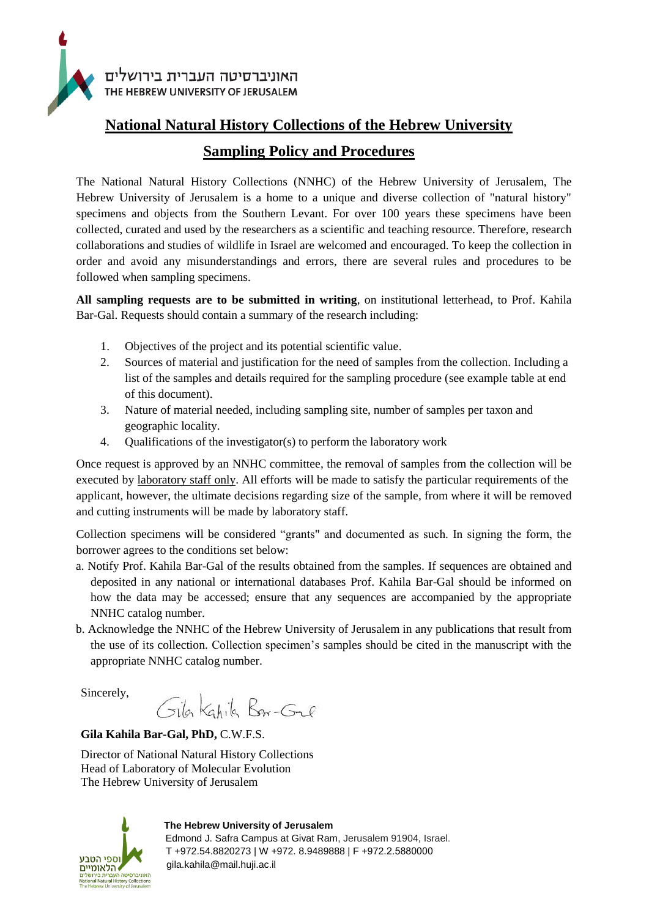

## **National Natural History Collections of the Hebrew University**

## **Sampling Policy and Procedures**

The National Natural History Collections (NNHC) of the Hebrew University of Jerusalem, The Hebrew University of Jerusalem is a home to a unique and diverse collection of "natural history" specimens and objects from the Southern Levant. For over 100 years these specimens have been collected, curated and used by the researchers as a scientific and teaching resource. Therefore, research collaborations and studies of wildlife in Israel are welcomed and encouraged. To keep the collection in order and avoid any misunderstandings and errors, there are several rules and procedures to be followed when sampling specimens.

**All sampling requests are to be submitted in writing**, on institutional letterhead, to Prof. Kahila Bar-Gal. Requests should contain a summary of the research including:

- 1. Objectives of the project and its potential scientific value.
- 2. Sources of material and justification for the need of samples from the collection. Including a list of the samples and details required for the sampling procedure (see example table at end of this document).
- 3. Nature of material needed, including sampling site, number of samples per taxon and geographic locality.
- 4. Qualifications of the investigator(s) to perform the laboratory work

Once request is approved by an NNHC committee, the removal of samples from the collection will be executed by laboratory staff only. All efforts will be made to satisfy the particular requirements of the applicant, however, the ultimate decisions regarding size of the sample, from where it will be removed and cutting instruments will be made by laboratory staff.

Collection specimens will be considered "grants" and documented as such. In signing the form, the borrower agrees to the conditions set below:

- a. Notify Prof. Kahila Bar-Gal of the results obtained from the samples. If sequences are obtained and deposited in any national or international databases Prof. Kahila Bar-Gal should be informed on how the data may be accessed; ensure that any sequences are accompanied by the appropriate NNHC catalog number.
- b. Acknowledge the NNHC of the Hebrew University of Jerusalem in any publications that result from the use of its collection. Collection specimen's samples should be cited in the manuscript with the appropriate NNHC catalog number.

Sincerely,

Gila Kahila Bar-Gal

**Gila Kahila Bar-Gal, PhD,** C.W.F.S.

Director of National Natural History Collections Head of Laboratory of Molecular Evolution The Hebrew University of Jerusalem



**The Hebrew University of Jerusalem**

 Edmond J. Safra Campus at Givat Ram, Jerusalem 91904, Israel. T +972.54.8820273 | W +972. 8.9489888 | F +972.2.5880000